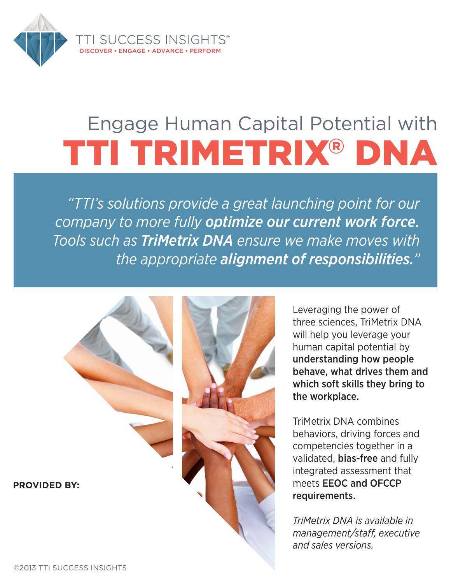

# Engage Human Capital Potential with TTI TRIMETRIX® DNA

*"TTI's solutions provide a great launching point for our company to more fully optimize our current work force. Tools such as TriMetrix DNA ensure we make moves with the appropriate alignment of responsibilities."*

**PROVIDED BY:**



Leveraging the power of three sciences, TriMetrix DNA will help you leverage your human capital potential by understanding how people behave, what drives them and which soft skills they bring to the workplace.

TriMetrix DNA combines behaviors, driving forces and competencies together in a validated, bias-free and fully integrated assessment that meets EEOC and OFCCP requirements.

*TriMetrix DNA is available in management/staff, executive and sales versions.*